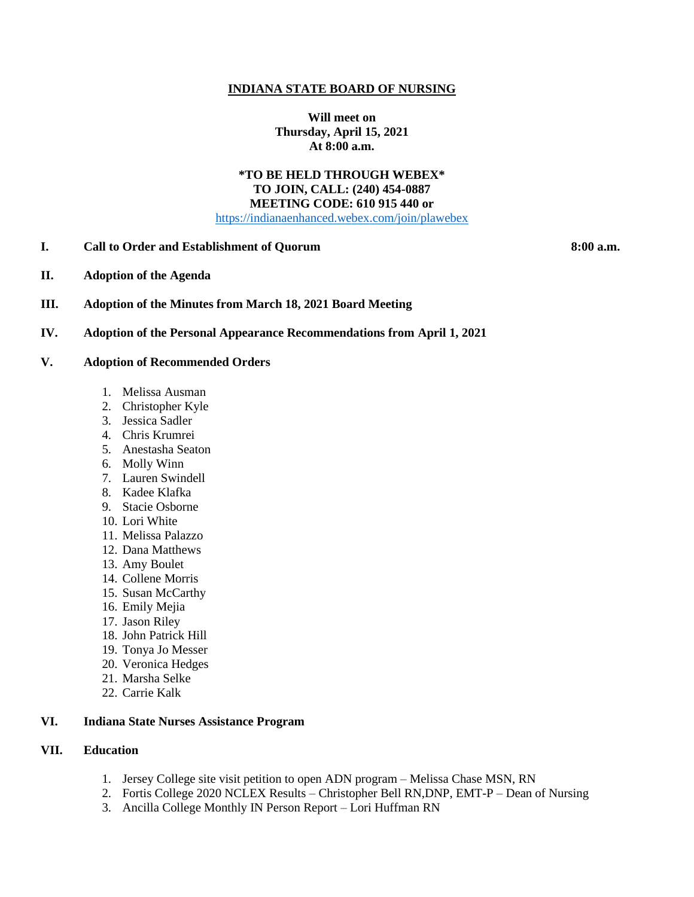#### **INDIANA STATE BOARD OF NURSING**

**Will meet on Thursday, April 15, 2021 At 8:00 a.m.**

#### **\*TO BE HELD THROUGH WEBEX\* TO JOIN, CALL: (240) 454-0887 MEETING CODE: 610 915 440 or** [https://indianaenhanced.webex.com/join/plawebex](https://indianaenhanced.webex.com/join/PLAWebex)

**I. Call to Order and Establishment of Quorum 8:00 a.m.** 

- **II. Adoption of the Agenda**
- **III. Adoption of the Minutes from March 18, 2021 Board Meeting**

#### **IV. Adoption of the Personal Appearance Recommendations from April 1, 2021**

- **V. Adoption of Recommended Orders**
	- 1. Melissa Ausman
	- 2. Christopher Kyle
	- 3. Jessica Sadler
	- 4. Chris Krumrei
	- 5. Anestasha Seaton
	- 6. Molly Winn
	- 7. Lauren Swindell
	- 8. Kadee Klafka
	- 9. Stacie Osborne
	- 10. Lori White
	- 11. Melissa Palazzo
	- 12. Dana Matthews
	- 13. Amy Boulet
	- 14. Collene Morris
	- 15. Susan McCarthy
	- 16. Emily Mejia
	- 17. Jason Riley
	- 18. John Patrick Hill
	- 19. Tonya Jo Messer
	- 20. Veronica Hedges
	- 21. Marsha Selke
	- 22. Carrie Kalk

## **VI. Indiana State Nurses Assistance Program**

## **VII. Education**

- 1. Jersey College site visit petition to open ADN program Melissa Chase MSN, RN
- 2. Fortis College 2020 NCLEX Results Christopher Bell RN,DNP, EMT-P Dean of Nursing
- 3. Ancilla College Monthly IN Person Report Lori Huffman RN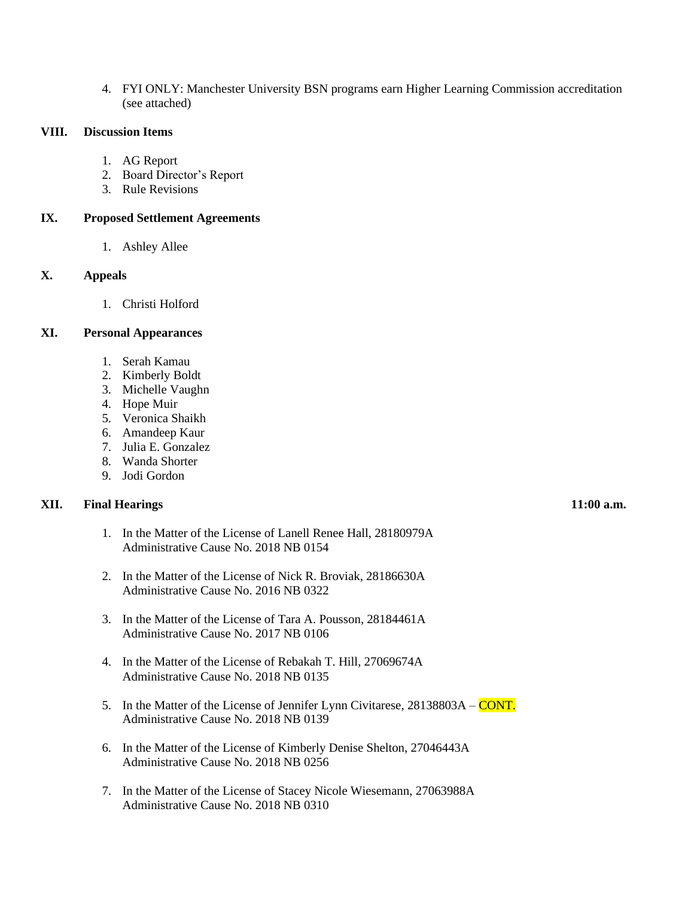4. FYI ONLY: Manchester University BSN programs earn Higher Learning Commission accreditation (see attached)

#### **VIII. Discussion Items**

- 1. AG Report
- 2. Board Director's Report
- 3. Rule Revisions

## **IX. Proposed Settlement Agreements**

1. Ashley Allee

# **X. Appeals**

1. Christi Holford

## **XI. Personal Appearances**

- 1. Serah Kamau
- 2. Kimberly Boldt
- 3. Michelle Vaughn
- 4. Hope Muir
- 5. Veronica Shaikh
- 6. Amandeep Kaur
- 7. Julia E. Gonzalez
- 8. Wanda Shorter
- 9. Jodi Gordon

## **XII. Final Hearings 11:00 a.m.**

- 1. In the Matter of the License of Lanell Renee Hall, 28180979A Administrative Cause No. 2018 NB 0154
- 2. In the Matter of the License of Nick R. Broviak, 28186630A Administrative Cause No. 2016 NB 0322
- 3. In the Matter of the License of Tara A. Pousson, 28184461A Administrative Cause No. 2017 NB 0106
- 4. In the Matter of the License of Rebakah T. Hill, 27069674A Administrative Cause No. 2018 NB 0135
- 5. In the Matter of the License of Jennifer Lynn Civitarese, 28138803A CONT. Administrative Cause No. 2018 NB 0139
- 6. In the Matter of the License of Kimberly Denise Shelton, 27046443A Administrative Cause No. 2018 NB 0256
- 7. In the Matter of the License of Stacey Nicole Wiesemann, 27063988A Administrative Cause No. 2018 NB 0310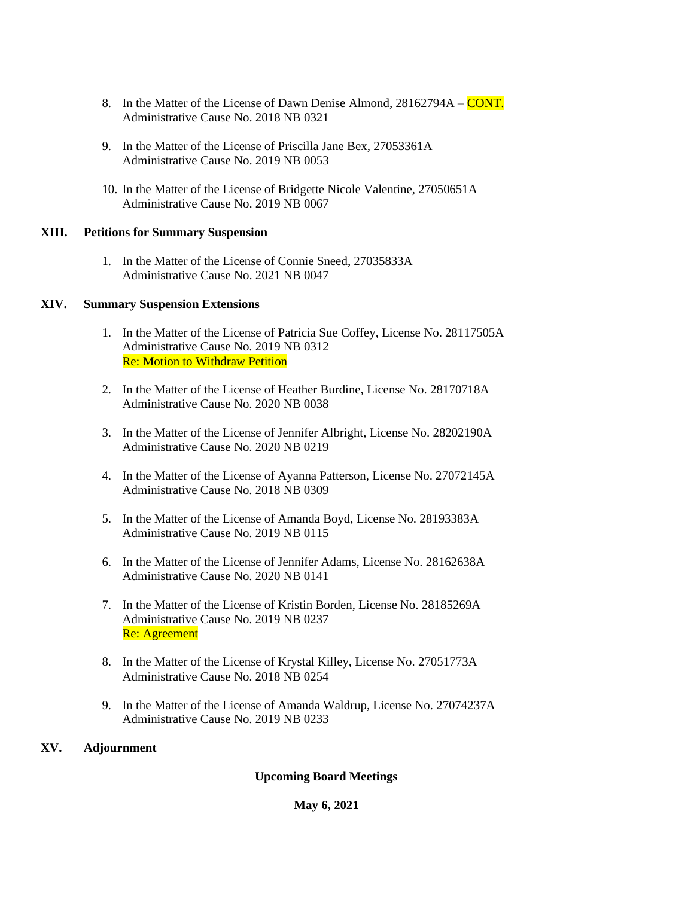- 8. In the Matter of the License of Dawn Denise Almond, 28162794A CONT. Administrative Cause No. 2018 NB 0321
- 9. In the Matter of the License of Priscilla Jane Bex, 27053361A Administrative Cause No. 2019 NB 0053
- 10. In the Matter of the License of Bridgette Nicole Valentine, 27050651A Administrative Cause No. 2019 NB 0067

## **XIII. Petitions for Summary Suspension**

1. In the Matter of the License of Connie Sneed, 27035833A Administrative Cause No. 2021 NB 0047

#### **XIV. Summary Suspension Extensions**

- 1. In the Matter of the License of Patricia Sue Coffey, License No. 28117505A Administrative Cause No. 2019 NB 0312 Re: Motion to Withdraw Petition
- 2. In the Matter of the License of Heather Burdine, License No. 28170718A Administrative Cause No. 2020 NB 0038
- 3. In the Matter of the License of Jennifer Albright, License No. 28202190A Administrative Cause No. 2020 NB 0219
- 4. In the Matter of the License of Ayanna Patterson, License No. 27072145A Administrative Cause No. 2018 NB 0309
- 5. In the Matter of the License of Amanda Boyd, License No. 28193383A Administrative Cause No. 2019 NB 0115
- 6. In the Matter of the License of Jennifer Adams, License No. 28162638A Administrative Cause No. 2020 NB 0141
- 7. In the Matter of the License of Kristin Borden, License No. 28185269A Administrative Cause No. 2019 NB 0237 Re: Agreement
- 8. In the Matter of the License of Krystal Killey, License No. 27051773A Administrative Cause No. 2018 NB 0254
- 9. In the Matter of the License of Amanda Waldrup, License No. 27074237A Administrative Cause No. 2019 NB 0233

# **XV. Adjournment**

# **Upcoming Board Meetings**

## **May 6, 2021**